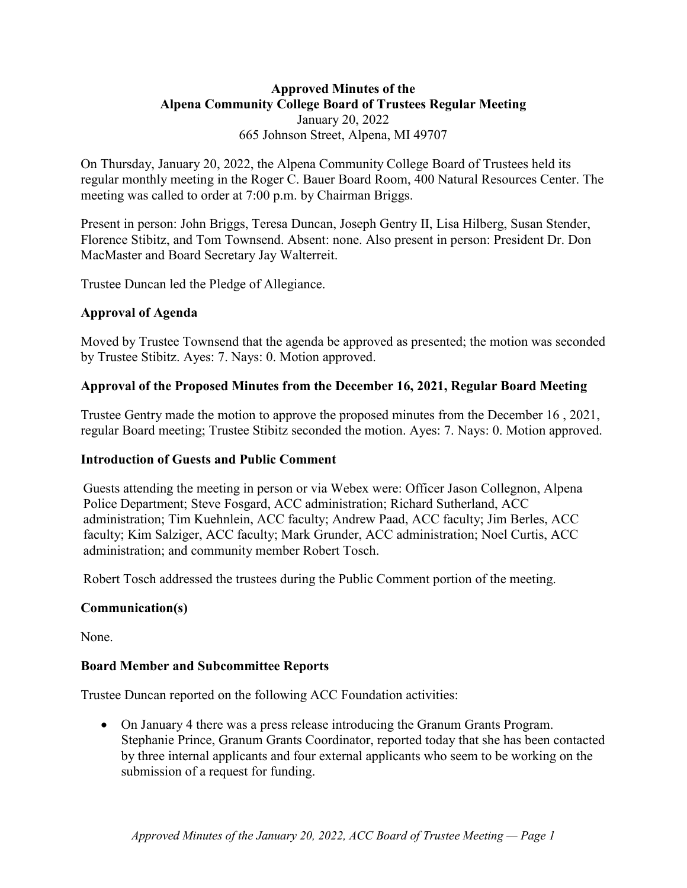# **Approved Minutes of the Alpena Community College Board of Trustees Regular Meeting** January 20, 2022 665 Johnson Street, Alpena, MI 49707

On Thursday, January 20, 2022, the Alpena Community College Board of Trustees held its regular monthly meeting in the Roger C. Bauer Board Room, 400 Natural Resources Center. The meeting was called to order at 7:00 p.m. by Chairman Briggs.

Present in person: John Briggs, Teresa Duncan, Joseph Gentry II, Lisa Hilberg, Susan Stender, Florence Stibitz, and Tom Townsend. Absent: none. Also present in person: President Dr. Don MacMaster and Board Secretary Jay Walterreit.

Trustee Duncan led the Pledge of Allegiance.

# **Approval of Agenda**

Moved by Trustee Townsend that the agenda be approved as presented; the motion was seconded by Trustee Stibitz. Ayes: 7. Nays: 0. Motion approved.

# **Approval of the Proposed Minutes from the December 16, 2021, Regular Board Meeting**

Trustee Gentry made the motion to approve the proposed minutes from the December 16 , 2021, regular Board meeting; Trustee Stibitz seconded the motion. Ayes: 7. Nays: 0. Motion approved.

# **Introduction of Guests and Public Comment**

Guests attending the meeting in person or via Webex were: Officer Jason Collegnon, Alpena Police Department; Steve Fosgard, ACC administration; Richard Sutherland, ACC administration; Tim Kuehnlein, ACC faculty; Andrew Paad, ACC faculty; Jim Berles, ACC faculty; Kim Salziger, ACC faculty; Mark Grunder, ACC administration; Noel Curtis, ACC administration; and community member Robert Tosch.

Robert Tosch addressed the trustees during the Public Comment portion of the meeting.

# **Communication(s)**

None.

### **Board Member and Subcommittee Reports**

Trustee Duncan reported on the following ACC Foundation activities:

• On January 4 there was a press release introducing the Granum Grants Program. Stephanie Prince, Granum Grants Coordinator, reported today that she has been contacted by three internal applicants and four external applicants who seem to be working on the submission of a request for funding.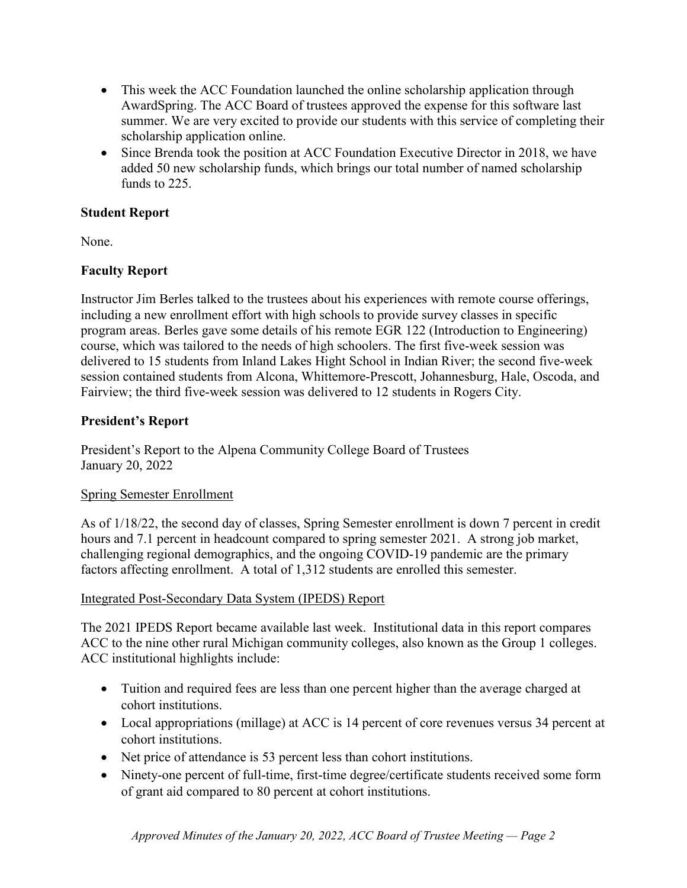- This week the ACC Foundation launched the online scholarship application through AwardSpring. The ACC Board of trustees approved the expense for this software last summer. We are very excited to provide our students with this service of completing their scholarship application online.
- Since Brenda took the position at ACC Foundation Executive Director in 2018, we have added 50 new scholarship funds, which brings our total number of named scholarship funds to 225.

# **Student Report**

None.

# **Faculty Report**

Instructor Jim Berles talked to the trustees about his experiences with remote course offerings, including a new enrollment effort with high schools to provide survey classes in specific program areas. Berles gave some details of his remote EGR 122 (Introduction to Engineering) course, which was tailored to the needs of high schoolers. The first five-week session was delivered to 15 students from Inland Lakes Hight School in Indian River; the second five-week session contained students from Alcona, Whittemore-Prescott, Johannesburg, Hale, Oscoda, and Fairview; the third five-week session was delivered to 12 students in Rogers City.

# **President's Report**

President's Report to the Alpena Community College Board of Trustees January 20, 2022

### Spring Semester Enrollment

As of 1/18/22, the second day of classes, Spring Semester enrollment is down 7 percent in credit hours and 7.1 percent in headcount compared to spring semester 2021. A strong job market, challenging regional demographics, and the ongoing COVID-19 pandemic are the primary factors affecting enrollment. A total of 1,312 students are enrolled this semester.

### Integrated Post-Secondary Data System (IPEDS) Report

The 2021 IPEDS Report became available last week. Institutional data in this report compares ACC to the nine other rural Michigan community colleges, also known as the Group 1 colleges. ACC institutional highlights include:

- Tuition and required fees are less than one percent higher than the average charged at cohort institutions.
- Local appropriations (millage) at ACC is 14 percent of core revenues versus 34 percent at cohort institutions.
- Net price of attendance is 53 percent less than cohort institutions.
- Ninety-one percent of full-time, first-time degree/certificate students received some form of grant aid compared to 80 percent at cohort institutions.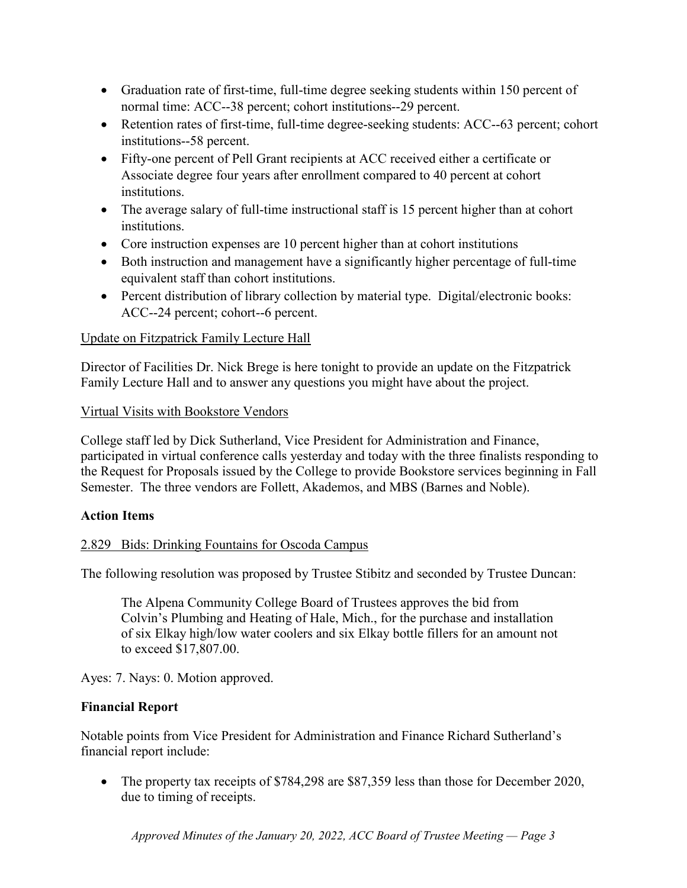- Graduation rate of first-time, full-time degree seeking students within 150 percent of normal time: ACC--38 percent; cohort institutions--29 percent.
- Retention rates of first-time, full-time degree-seeking students: ACC--63 percent; cohort institutions--58 percent.
- Fifty-one percent of Pell Grant recipients at ACC received either a certificate or Associate degree four years after enrollment compared to 40 percent at cohort institutions.
- The average salary of full-time instructional staff is 15 percent higher than at cohort institutions.
- Core instruction expenses are 10 percent higher than at cohort institutions
- Both instruction and management have a significantly higher percentage of full-time equivalent staff than cohort institutions.
- Percent distribution of library collection by material type. Digital/electronic books: ACC--24 percent; cohort--6 percent.

# Update on Fitzpatrick Family Lecture Hall

Director of Facilities Dr. Nick Brege is here tonight to provide an update on the Fitzpatrick Family Lecture Hall and to answer any questions you might have about the project.

# Virtual Visits with Bookstore Vendors

College staff led by Dick Sutherland, Vice President for Administration and Finance, participated in virtual conference calls yesterday and today with the three finalists responding to the Request for Proposals issued by the College to provide Bookstore services beginning in Fall Semester. The three vendors are Follett, Akademos, and MBS (Barnes and Noble).

### **Action Items**

# 2.829 Bids: Drinking Fountains for Oscoda Campus

The following resolution was proposed by Trustee Stibitz and seconded by Trustee Duncan:

The Alpena Community College Board of Trustees approves the bid from Colvin's Plumbing and Heating of Hale, Mich., for the purchase and installation of six Elkay high/low water coolers and six Elkay bottle fillers for an amount not to exceed \$17,807.00.

Ayes: 7. Nays: 0. Motion approved.

### **Financial Report**

Notable points from Vice President for Administration and Finance Richard Sutherland's financial report include:

• The property tax receipts of \$784,298 are \$87,359 less than those for December 2020, due to timing of receipts.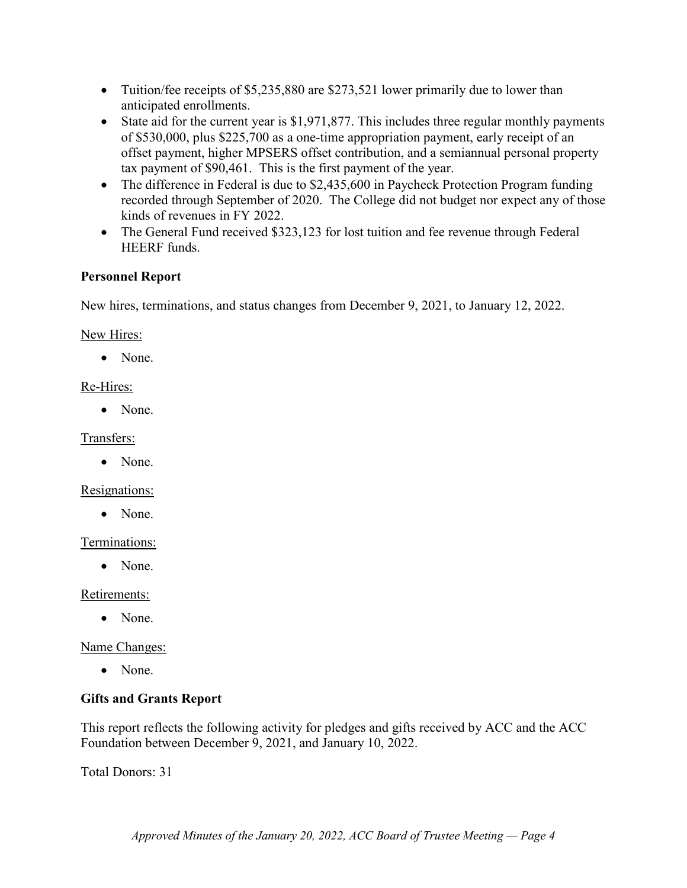- Tuition/fee receipts of \$5,235,880 are \$273,521 lower primarily due to lower than anticipated enrollments.
- State aid for the current year is \$1,971,877. This includes three regular monthly payments of \$530,000, plus \$225,700 as a one-time appropriation payment, early receipt of an offset payment, higher MPSERS offset contribution, and a semiannual personal property tax payment of \$90,461. This is the first payment of the year.
- The difference in Federal is due to \$2,435,600 in Paycheck Protection Program funding recorded through September of 2020. The College did not budget nor expect any of those kinds of revenues in FY 2022.
- The General Fund received \$323,123 for lost tuition and fee revenue through Federal HEERF funds.

### **Personnel Report**

New hires, terminations, and status changes from December 9, 2021, to January 12, 2022.

New Hires:

• None.

# Re-Hires:

• None.

Transfers:

• None.

Resignations:

• None.

### Terminations:

• None.

Retirements:

• None.

Name Changes:

• None.

# **Gifts and Grants Report**

This report reflects the following activity for pledges and gifts received by ACC and the ACC Foundation between December 9, 2021, and January 10, 2022.

Total Donors: 31